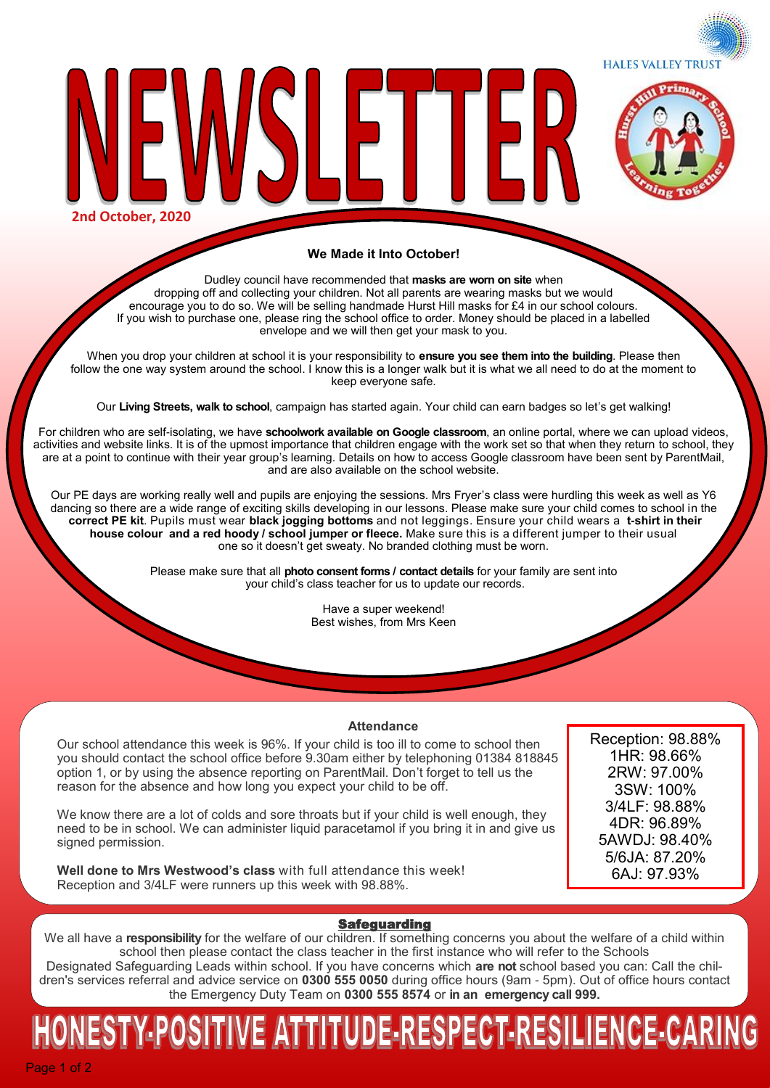**HALES VALLEY TRUST** 



**2nd October, 2020**

#### **We Made it Into October!**

 $\mathsf{P}$ 

Dudley council have recommended that **masks are worn on site** when dropping off and collecting your children. Not all parents are wearing masks but we would encourage you to do so. We will be selling handmade Hurst Hill masks for £4 in our school colours. If you wish to purchase one, please ring the school office to order. Money should be placed in a labelled envelope and we will then get your mask to you.

When you drop your children at school it is your responsibility to **ensure you see them into the building**. Please then follow the one way system around the school. I know this is a longer walk but it is what we all need to do at the moment to keep everyone safe.

Our **Living Streets, walk to school**, campaign has started again. Your child can earn badges so let's get walking!

For children who are self-isolating, we have **schoolwork available on Google classroom**, an online portal, where we can upload videos, activities and website links. It is of the upmost importance that children engage with the work set so that when they return to school, they are at a point to continue with their year group's learning. Details on how to access Google classroom have been sent by ParentMail, and are also available on the school website.

Our PE days are working really well and pupils are enjoying the sessions. Mrs Fryer's class were hurdling this week as well as Y6 dancing so there are a wide range of exciting skills developing in our lessons. Please make sure your child comes to school in the **correct PE kit**. Pupils must wear **black jogging bottoms** and not leggings. Ensure your child wears a **t-shirt in their house colour and a red hoody / school jumper or fleece.** Make sure this is a different jumper to their usual one so it doesn't get sweaty. No branded clothing must be worn.

> Please make sure that all **photo consent forms / contact details** for your family are sent into your child's class teacher for us to update our records.

> > Have a super weekend! Best wishes, from Mrs Keen

#### **Attendance**

Our school attendance this week is 96%. If your child is too ill to come to school then you should contact the school office before 9.30am either by telephoning 01384 818845 option 1, or by using the absence reporting on ParentMail. Don't forget to tell us the reason for the absence and how long you expect your child to be off.

We know there are a lot of colds and sore throats but if your child is well enough, they need to be in school. We can administer liquid paracetamol if you bring it in and give us signed permission.

**Well done to Mrs Westwood's class** with full attendance this week! Reception and 3/4LF were runners up this week with 98.88%.

Reception: 98.88% 1HR: 98.66% 2RW: 97.00% 3SW: 100% 3/4LF: 98.88% 4DR: 96.89% 5AWDJ: 98.40% 5/6JA: 87.20% 6AJ: 97.93%

#### Safeguarding

We all have a **responsibility** for the welfare of our children. If something concerns you about the welfare of a child within school then please contact the class teacher in the first instance who will refer to the Schools Designated Safeguarding Leads within school. If you have concerns which **are not** school based you can: Call the children's services referral and advice service on **0300 555 0050** during office hours (9am - 5pm). Out of office hours contact the Emergency Duty Team on **0300 555 8574** or **in an emergency call 999.** 

# NESTY-POSITIVE ATTITUDE-RESPECT-RESILIENCE-CARIN

Page 1 of 2